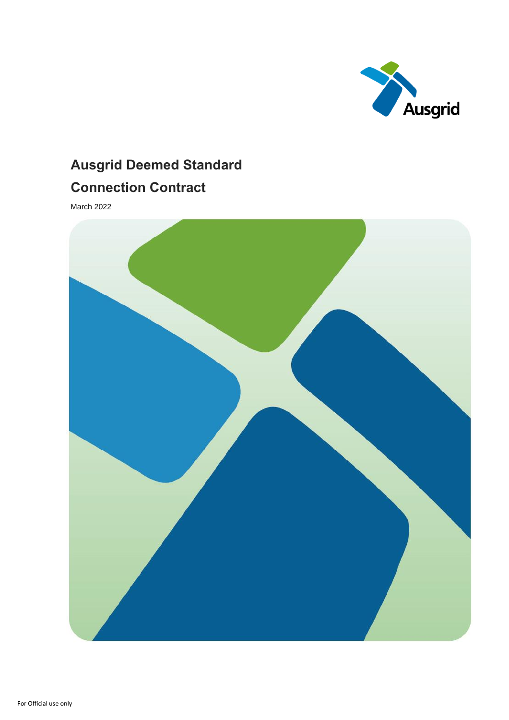

# **Ausgrid Deemed Standard Connection Contract**

March 2022

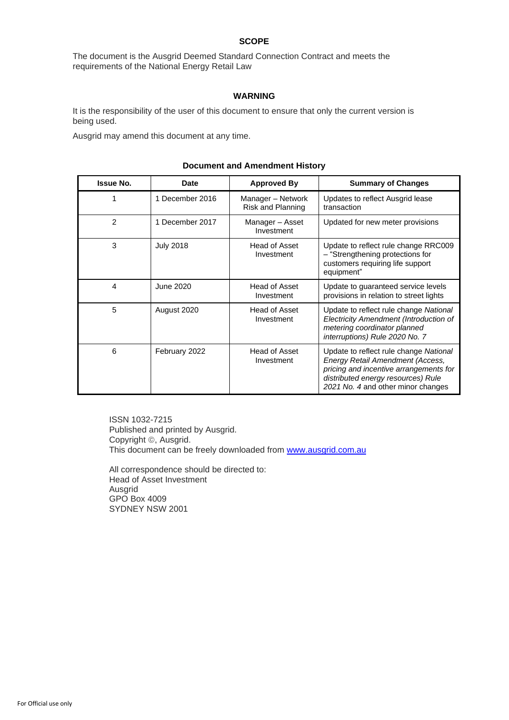#### **SCOPE**

The document is the Ausgrid Deemed Standard Connection Contract and meets the requirements of the National Energy Retail Law

#### **WARNING**

It is the responsibility of the user of this document to ensure that only the current version is being used.

Ausgrid may amend this document at any time.

| <b>Issue No.</b> | Date             | <b>Approved By</b>                     | <b>Summary of Changes</b>                                                                                                                                                                        |
|------------------|------------------|----------------------------------------|--------------------------------------------------------------------------------------------------------------------------------------------------------------------------------------------------|
| 1                | 1 December 2016  | Manager - Network<br>Risk and Planning | Updates to reflect Ausgrid lease<br>transaction                                                                                                                                                  |
| $\overline{2}$   | 1 December 2017  | Manager - Asset<br>Investment          | Updated for new meter provisions                                                                                                                                                                 |
| 3                | <b>July 2018</b> | Head of Asset<br>Investment            | Update to reflect rule change RRC009<br>- "Strengthening protections for<br>customers requiring life support<br>equipment"                                                                       |
| 4                | June 2020        | Head of Asset<br>Investment            | Update to guaranteed service levels<br>provisions in relation to street lights                                                                                                                   |
| 5                | August 2020      | Head of Asset<br>Investment            | Update to reflect rule change National<br>Electricity Amendment (Introduction of<br>metering coordinator planned<br>interruptions) Rule 2020 No. 7                                               |
| 6                | February 2022    | Head of Asset<br>Investment            | Update to reflect rule change National<br>Energy Retail Amendment (Access,<br>pricing and incentive arrangements for<br>distributed energy resources) Rule<br>2021 No. 4 and other minor changes |

#### **Document and Amendment History**

ISSN 1032-7215 Published and printed by Ausgrid. Copyright ©, Ausgrid. This document can be freely downloaded from [www.ausgrid.com.au](http://www.energy.com.au/)

All correspondence should be directed to: Head of Asset Investment Ausgrid GPO Box 4009 SYDNEY NSW 2001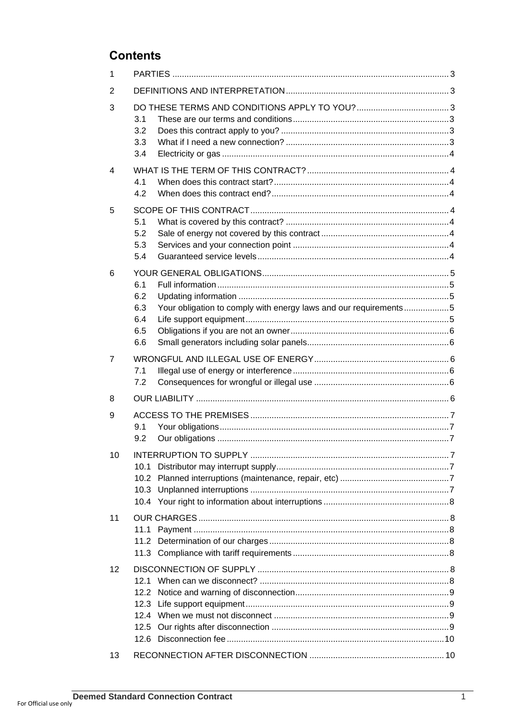### **Contents**

| 1  |                                                                                                            |  |  |  |
|----|------------------------------------------------------------------------------------------------------------|--|--|--|
| 2  |                                                                                                            |  |  |  |
| 3  | 3.1<br>3.2<br>3.3<br>3.4                                                                                   |  |  |  |
| 4  | 4.1<br>4.2                                                                                                 |  |  |  |
| 5  | 5.1<br>5.2<br>5.3<br>5.4                                                                                   |  |  |  |
| 6  | 6.1<br>6.2<br>6.3<br>Your obligation to comply with energy laws and our requirements5<br>6.4<br>6.5<br>6.6 |  |  |  |
| 7  | 7.1<br>7.2                                                                                                 |  |  |  |
| 8  |                                                                                                            |  |  |  |
| 9  | 9.1<br>9.2                                                                                                 |  |  |  |
| 10 | 10.1                                                                                                       |  |  |  |
| 11 | 11.1                                                                                                       |  |  |  |
| 12 | 12.2<br>12.5                                                                                               |  |  |  |
| 13 |                                                                                                            |  |  |  |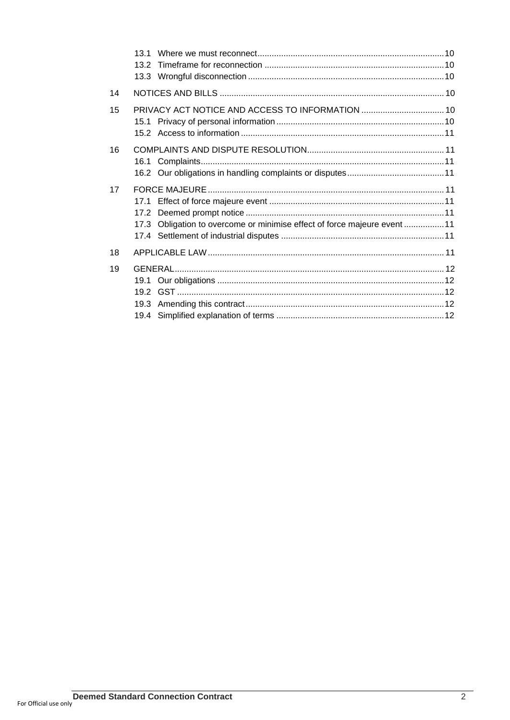|    | 13.1<br>13.2                                                                      |  |
|----|-----------------------------------------------------------------------------------|--|
| 14 |                                                                                   |  |
| 15 | PRIVACY ACT NOTICE AND ACCESS TO INFORMATION  10                                  |  |
| 16 |                                                                                   |  |
| 17 | 17.1<br>17.3 Obligation to overcome or minimise effect of force majeure event  11 |  |
| 18 |                                                                                   |  |
| 19 | 19.1                                                                              |  |
|    |                                                                                   |  |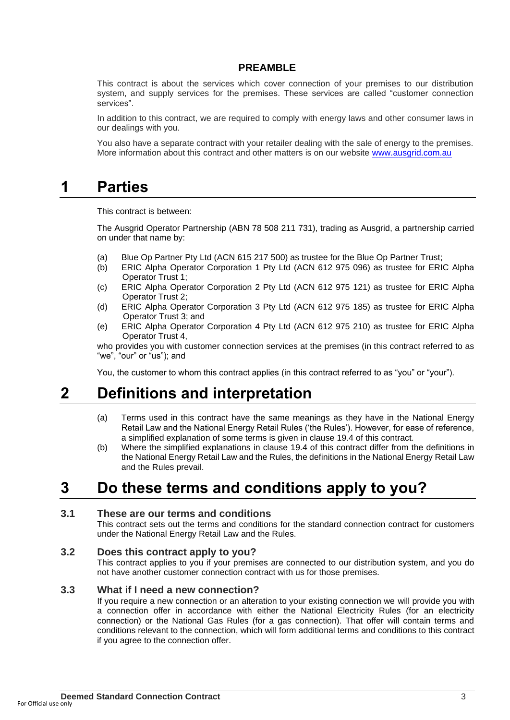#### **PREAMBLE**

This contract is about the services which cover connection of your premises to our distribution system, and supply services for the premises. These services are called "customer connection services".

In addition to this contract, we are required to comply with energy laws and other consumer laws in our dealings with you.

You also have a separate contract with your retailer dealing with the sale of energy to the premises. More information about this contract and other matters is on our website [www.ausgrid.com.au](http://www.ausgrid.com.au/)

## **1 Parties**

This contract is between:

The Ausgrid Operator Partnership (ABN 78 508 211 731), trading as Ausgrid, a partnership carried on under that name by:

- (a) Blue Op Partner Pty Ltd (ACN 615 217 500) as trustee for the Blue Op Partner Trust;
- (b) ERIC Alpha Operator Corporation 1 Pty Ltd (ACN 612 975 096) as trustee for ERIC Alpha Operator Trust 1;
- (c) ERIC Alpha Operator Corporation 2 Pty Ltd (ACN 612 975 121) as trustee for ERIC Alpha Operator Trust 2;
- (d) ERIC Alpha Operator Corporation 3 Pty Ltd (ACN 612 975 185) as trustee for ERIC Alpha Operator Trust 3; and
- (e) ERIC Alpha Operator Corporation 4 Pty Ltd (ACN 612 975 210) as trustee for ERIC Alpha Operator Trust 4,

who provides you with customer connection services at the premises (in this contract referred to as "we", "our" or "us"); and

You, the customer to whom this contract applies (in this contract referred to as "you" or "your").

## **2 Definitions and interpretation**

- (a) Terms used in this contract have the same meanings as they have in the National Energy Retail Law and the National Energy Retail Rules ('the Rules'). However, for ease of reference, a simplified explanation of some terms is given in clause 19.4 of this contract.
- (b) Where the simplified explanations in clause 19.4 of this contract differ from the definitions in the National Energy Retail Law and the Rules, the definitions in the National Energy Retail Law and the Rules prevail.

# **3 Do these terms and conditions apply to you?**

#### **3.1 These are our terms and conditions**

This contract sets out the terms and conditions for the standard connection contract for customers under the National Energy Retail Law and the Rules.

#### **3.2 Does this contract apply to you?**

This contract applies to you if your premises are connected to our distribution system, and you do not have another customer connection contract with us for those premises.

#### **3.3 What if I need a new connection?**

If you require a new connection or an alteration to your existing connection we will provide you with a connection offer in accordance with either the National Electricity Rules (for an electricity connection) or the National Gas Rules (for a gas connection). That offer will contain terms and conditions relevant to the connection, which will form additional terms and conditions to this contract if you agree to the connection offer.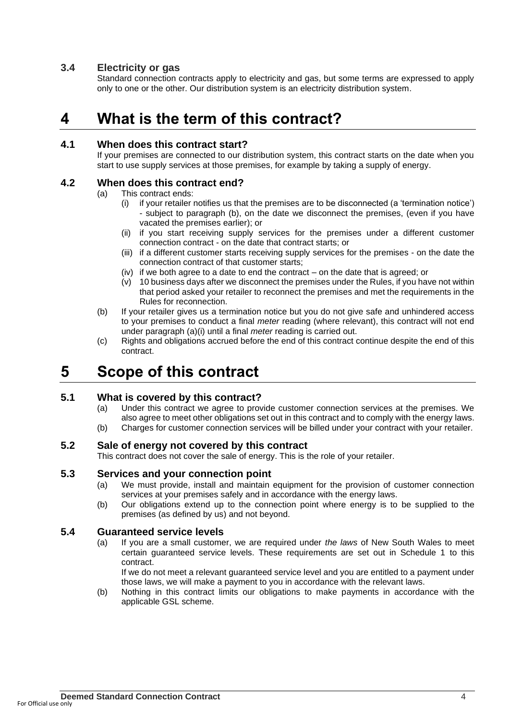#### **3.4 Electricity or gas**

Standard connection contracts apply to electricity and gas, but some terms are expressed to apply only to one or the other. Our distribution system is an electricity distribution system.

# **4 What is the term of this contract?**

#### **4.1 When does this contract start?**

If your premises are connected to our distribution system, this contract starts on the date when you start to use supply services at those premises, for example by taking a supply of energy.

#### **4.2 When does this contract end?**

- (a) This contract ends:
	- (i) if your retailer notifies us that the premises are to be disconnected (a 'termination notice') - subject to paragraph (b), on the date we disconnect the premises, (even if you have vacated the premises earlier); or
	- (ii) if you start receiving supply services for the premises under a different customer connection contract - on the date that contract starts; or
	- (iii) if a different customer starts receiving supply services for the premises on the date the connection contract of that customer starts;
	- (iv) if we both agree to a date to end the contract on the date that is agreed; or
	- (v) 10 business days after we disconnect the premises under the Rules, if you have not within that period asked your retailer to reconnect the premises and met the requirements in the Rules for reconnection.
- (b) If your retailer gives us a termination notice but you do not give safe and unhindered access to your premises to conduct a final *meter* reading (where relevant), this contract will not end under paragraph (a)(i) until a final *meter* reading is carried out.
- (c) Rights and obligations accrued before the end of this contract continue despite the end of this contract.

# **5 Scope of this contract**

### **5.1 What is covered by this contract?**

- (a) Under this contract we agree to provide customer connection services at the premises. We also agree to meet other obligations set out in this contract and to comply with the energy laws.
- (b) Charges for customer connection services will be billed under your contract with your retailer.

#### **5.2 Sale of energy not covered by this contract**

This contract does not cover the sale of energy. This is the role of your retailer.

#### **5.3 Services and your connection point**

- (a) We must provide, install and maintain equipment for the provision of customer connection services at your premises safely and in accordance with the energy laws.
- (b) Our obligations extend up to the connection point where energy is to be supplied to the premises (as defined by us) and not beyond.

#### **5.4 Guaranteed service levels**

(a) If you are a small customer, we are required under *the laws* of New South Wales to meet certain guaranteed service levels. These requirements are set out in Schedule 1 to this contract.

If we do not meet a relevant guaranteed service level and you are entitled to a payment under those laws, we will make a payment to you in accordance with the relevant laws.

(b) Nothing in this contract limits our obligations to make payments in accordance with the applicable GSL scheme.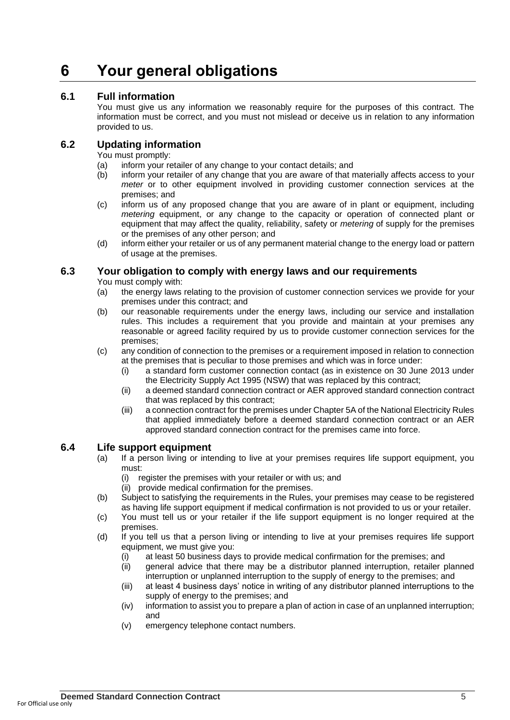# **6 Your general obligations**

#### **6.1 Full information**

You must give us any information we reasonably require for the purposes of this contract. The information must be correct, and you must not mislead or deceive us in relation to any information provided to us.

#### **6.2 Updating information**

You must promptly:

- (a) inform your retailer of any change to your contact details; and
- (b) inform your retailer of any change that you are aware of that materially affects access to your *meter* or to other equipment involved in providing customer connection services at the premises; and
- (c) inform us of any proposed change that you are aware of in plant or equipment, including *metering* equipment, or any change to the capacity or operation of connected plant or equipment that may affect the quality, reliability, safety or *metering* of supply for the premises or the premises of any other person; and
- (d) inform either your retailer or us of any permanent material change to the energy load or pattern of usage at the premises.

#### **6.3 Your obligation to comply with energy laws and our requirements**

You must comply with:

- (a) the energy laws relating to the provision of customer connection services we provide for your premises under this contract; and
- (b) our reasonable requirements under the energy laws, including our service and installation rules. This includes a requirement that you provide and maintain at your premises any reasonable or agreed facility required by us to provide customer connection services for the premises;
- (c) any condition of connection to the premises or a requirement imposed in relation to connection at the premises that is peculiar to those premises and which was in force under:
	- (i) a standard form customer connection contact (as in existence on 30 June 2013 under the Electricity Supply Act 1995 (NSW) that was replaced by this contract;
	- (ii) a deemed standard connection contract or AER approved standard connection contract that was replaced by this contract;
	- (iii) a connection contract for the premises under Chapter 5A of the National Electricity Rules that applied immediately before a deemed standard connection contract or an AER approved standard connection contract for the premises came into force.

#### **6.4 Life support equipment**

- (a) If a person living or intending to live at your premises requires life support equipment, you must:
	- (i) register the premises with your retailer or with us; and
	- (ii) provide medical confirmation for the premises.
- (b) Subject to satisfying the requirements in the Rules, your premises may cease to be registered as having life support equipment if medical confirmation is not provided to us or your retailer.
- (c) You must tell us or your retailer if the life support equipment is no longer required at the premises.
- (d) If you tell us that a person living or intending to live at your premises requires life support equipment, we must give you:
	- (i) at least 50 business days to provide medical confirmation for the premises; and
	- (ii) general advice that there may be a distributor planned interruption, retailer planned interruption or unplanned interruption to the supply of energy to the premises; and
	- (iii) at least 4 business days' notice in writing of any distributor planned interruptions to the supply of energy to the premises; and
	- (iv) information to assist you to prepare a plan of action in case of an unplanned interruption; and
	- (v) emergency telephone contact numbers.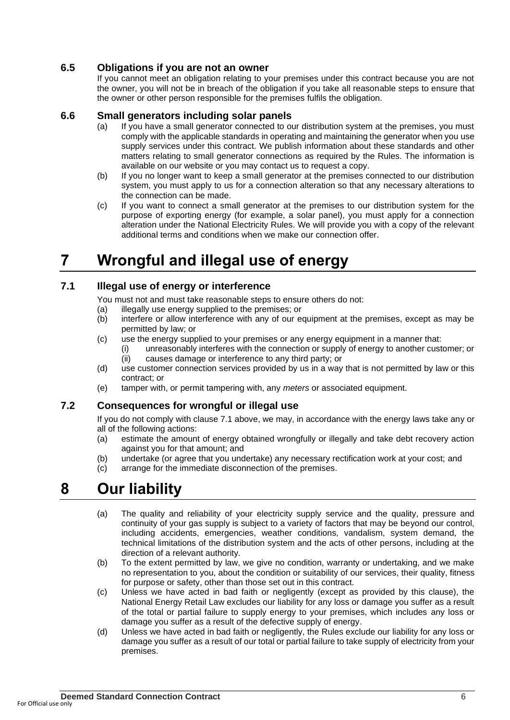### **6.5 Obligations if you are not an owner**

If you cannot meet an obligation relating to your premises under this contract because you are not the owner, you will not be in breach of the obligation if you take all reasonable steps to ensure that the owner or other person responsible for the premises fulfils the obligation.

#### **6.6 Small generators including solar panels**

- (a) If you have a small generator connected to our distribution system at the premises, you must comply with the applicable standards in operating and maintaining the generator when you use supply services under this contract. We publish information about these standards and other matters relating to small generator connections as required by the Rules. The information is available on our website or you may contact us to request a copy.
- (b) If you no longer want to keep a small generator at the premises connected to our distribution system, you must apply to us for a connection alteration so that any necessary alterations to the connection can be made.
- (c) If you want to connect a small generator at the premises to our distribution system for the purpose of exporting energy (for example, a solar panel), you must apply for a connection alteration under the National Electricity Rules. We will provide you with a copy of the relevant additional terms and conditions when we make our connection offer.

# **7 Wrongful and illegal use of energy**

#### **7.1 Illegal use of energy or interference**

You must not and must take reasonable steps to ensure others do not:

- (a) illegally use energy supplied to the premises; or
- (b) interfere or allow interference with any of our equipment at the premises, except as may be permitted by law; or
- (c) use the energy supplied to your premises or any energy equipment in a manner that:
	- (i) unreasonably interferes with the connection or supply of energy to another customer; or (ii) causes damage or interference to any third party; or
- (d) use customer connection services provided by us in a way that is not permitted by law or this contract; or
- (e) tamper with, or permit tampering with, any *meters* or associated equipment.

#### **7.2 Consequences for wrongful or illegal use**

If you do not comply with clause 7.1 above, we may, in accordance with the energy laws take any or all of the following actions:

- (a) estimate the amount of energy obtained wrongfully or illegally and take debt recovery action against you for that amount; and
- (b) undertake (or agree that you undertake) any necessary rectification work at your cost; and
- (c) arrange for the immediate disconnection of the premises.

## **8 Our liability**

- (a) The quality and reliability of your electricity supply service and the quality, pressure and continuity of your gas supply is subject to a variety of factors that may be beyond our control, including accidents, emergencies, weather conditions, vandalism, system demand, the technical limitations of the distribution system and the acts of other persons, including at the direction of a relevant authority*.*
- (b) To the extent permitted by law, we give no condition, warranty or undertaking, and we make no representation to you, about the condition or suitability of our services, their quality, fitness for purpose or safety, other than those set out in this contract.
- (c) Unless we have acted in bad faith or negligently (except as provided by this clause), the National Energy Retail Law excludes our liability for any loss or damage you suffer as a result of the total or partial failure to supply energy to your premises, which includes any loss or damage you suffer as a result of the defective supply of energy.
- (d) Unless we have acted in bad faith or negligently, the Rules exclude our liability for any loss or damage you suffer as a result of our total or partial failure to take supply of electricity from your premises.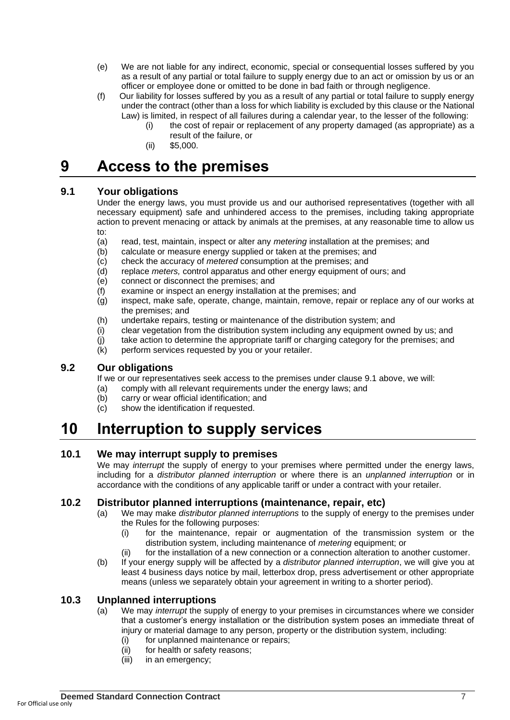- (e) We are not liable for any indirect, economic, special or consequential losses suffered by you as a result of any partial or total failure to supply energy due to an act or omission by us or an officer or employee done or omitted to be done in bad faith or through negligence.
- (f) Our liability for losses suffered by you as a result of any partial or total failure to supply energy under the contract (other than a loss for which liability is excluded by this clause or the National Law) is limited, in respect of all failures during a calendar year, to the lesser of the following:
	- (i) the cost of repair or replacement of any property damaged (as appropriate) as a result of the failure, or
	- (ii) \$5,000.

# **9 Access to the premises**

### **9.1 Your obligations**

Under the energy laws, you must provide us and our authorised representatives (together with all necessary equipment) safe and unhindered access to the premises, including taking appropriate action to prevent menacing or attack by animals at the premises, at any reasonable time to allow us  $t^{\circ}$ 

- (a) read, test, maintain, inspect or alter any *metering* installation at the premises; and
- (b) calculate or measure energy supplied or taken at the premises; and
- (c) check the accuracy of *metered* consumption at the premises; and
- (d) replace *meters,* control apparatus and other energy equipment of ours; and
- (e) connect or disconnect the premises; and
- (f) examine or inspect an energy installation at the premises; and
- (g) inspect, make safe, operate, change, maintain, remove, repair or replace any of our works at the premises; and
- (h) undertake repairs, testing or maintenance of the distribution system; and
- (i) clear vegetation from the distribution system including any equipment owned by us; and
- (j) take action to determine the appropriate tariff or charging category for the premises; and
- (k) perform services requested by you or your retailer.

### **9.2 Our obligations**

If we or our representatives seek access to the premises under clause 9.1 above, we will: (a) comply with all relevant requirements under the energy laws; and

- 
- (b) carry or wear official identification; and
- (c) show the identification if requested.

# **10 Interruption to supply services**

### **10.1 We may interrupt supply to premises**

We may *interrupt* the supply of energy to your premises where permitted under the energy laws, including for a *distributor planned interruption* or where there is an *unplanned interruption* or in accordance with the conditions of any applicable tariff or under a contract with your retailer.

### **10.2 Distributor planned interruptions (maintenance, repair, etc)**

- (a) We may make *distributor planned interruptions* to the supply of energy to the premises under the Rules for the following purposes:
	- (i) for the maintenance, repair or augmentation of the transmission system or the distribution system, including maintenance of *metering* equipment; or
	- (ii) for the installation of a new connection or a connection alteration to another customer.
- (b) If your energy supply will be affected by a *distributor planned interruption*, we will give you at least 4 business days notice by mail, letterbox drop, press advertisement or other appropriate means (unless we separately obtain your agreement in writing to a shorter period).

#### **10.3 Unplanned interruptions**

- (a) We may *interrupt* the supply of energy to your premises in circumstances where we consider that a customer's energy installation or the distribution system poses an immediate threat of injury or material damage to any person, property or the distribution system, including:
	- (i) for unplanned maintenance or repairs;
	- (ii) for health or safety reasons;
	- (iii) in an emergency;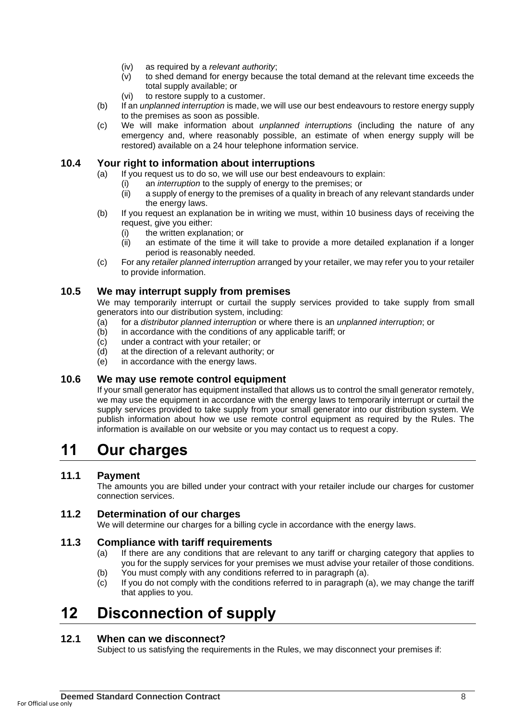- (iv) as required by a *relevant authority*;
- (v) to shed demand for energy because the total demand at the relevant time exceeds the total supply available; or
- (vi) to restore supply to a customer.
- (b) If an *unplanned interruption* is made, we will use our best endeavours to restore energy supply to the premises as soon as possible.
- (c) We will make information about *unplanned interruptions* (including the nature of any emergency and, where reasonably possible, an estimate of when energy supply will be restored) available on a 24 hour telephone information service.

#### **10.4 Your right to information about interruptions**

- (a) If you request us to do so, we will use our best endeavours to explain:
	- (i) an *interruption* to the supply of energy to the premises; or
	- $(iii)$  a supply of energy to the premises of a quality in breach of any relevant standards under the energy laws.
- (b) If you request an explanation be in writing we must, within 10 business days of receiving the request, give you either:
	- (i) the written explanation; or
	- (ii) an estimate of the time it will take to provide a more detailed explanation if a longer period is reasonably needed.
- (c) For any *retailer planned interruption* arranged by your retailer, we may refer you to your retailer to provide information.

#### **10.5 We may interrupt supply from premises**

We may temporarily interrupt or curtail the supply services provided to take supply from small generators into our distribution system, including:

- (a) for a *distributor planned interruption* or where there is an *unplanned interruption*; or
- (b) in accordance with the conditions of any applicable tariff; or
- (c) under a contract with your retailer; or<br>(d) at the direction of a relevant authority
- at the direction of a relevant authority; or
- (e) in accordance with the energy laws.

#### **10.6 We may use remote control equipment**

If your small generator has equipment installed that allows us to control the small generator remotely, we may use the equipment in accordance with the energy laws to temporarily interrupt or curtail the supply services provided to take supply from your small generator into our distribution system. We publish information about how we use remote control equipment as required by the Rules. The information is available on our website or you may contact us to request a copy.

## **11 Our charges**

### **11.1 Payment**

The amounts you are billed under your contract with your retailer include our charges for customer connection services.

### **11.2 Determination of our charges**

We will determine our charges for a billing cycle in accordance with the energy laws.

#### **11.3 Compliance with tariff requirements**

- (a) If there are any conditions that are relevant to any tariff or charging category that applies to you for the supply services for your premises we must advise your retailer of those conditions.
- (b) You must comply with any conditions referred to in paragraph (a).
- (c) If you do not comply with the conditions referred to in paragraph (a), we may change the tariff that applies to you.

# **12 Disconnection of supply**

#### **12.1 When can we disconnect?**

Subject to us satisfying the requirements in the Rules, we may disconnect your premises if: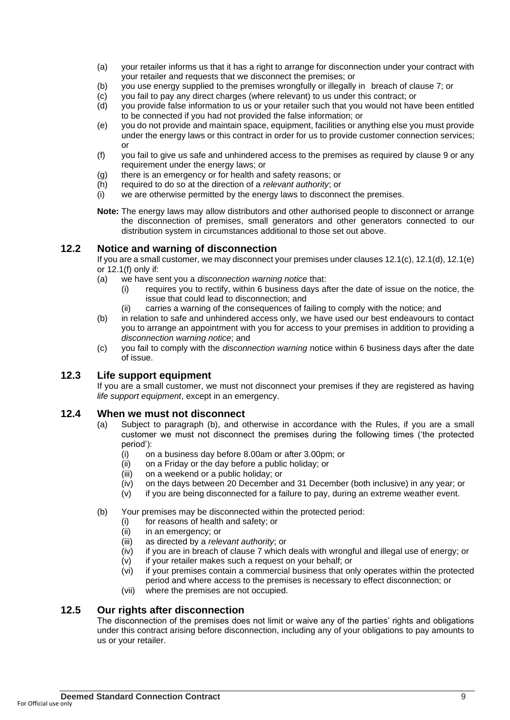- (a) your retailer informs us that it has a right to arrange for disconnection under your contract with your retailer and requests that we disconnect the premises; or
- (b) you use energy supplied to the premises wrongfully or illegally in breach of clause 7; or
- (c) you fail to pay any direct charges (where relevant) to us under this contract; or
- (d) you provide false information to us or your retailer such that you would not have been entitled to be connected if you had not provided the false information; or
- (e) you do not provide and maintain space, equipment, facilities or anything else you must provide under the energy laws or this contract in order for us to provide customer connection services; or
- (f) you fail to give us safe and unhindered access to the premises as required by clause 9 or any requirement under the energy laws; or
- (g) there is an emergency or for health and safety reasons; or
- (h) required to do so at the direction of a *relevant authority*; or
- (i) we are otherwise permitted by the energy laws to disconnect the premises.
- **Note:** The energy laws may allow distributors and other authorised people to disconnect or arrange the disconnection of premises, small generators and other generators connected to our distribution system in circumstances additional to those set out above.

#### **12.2 Notice and warning of disconnection**

If you are a small customer, we may disconnect your premises under clauses 12.1(c), 12.1(d), 12.1(e) or 12.1(f) only if:

- (a) we have sent you a *disconnection warning notice* that:
	- (i) requires you to rectify, within 6 business days after the date of issue on the notice, the issue that could lead to disconnection; and
	- (ii) carries a warning of the consequences of failing to comply with the notice; and
- (b) in relation to safe and unhindered access only, we have used our best endeavours to contact you to arrange an appointment with you for access to your premises in addition to providing a *disconnection warning notice*; and
- (c) you fail to comply with the *disconnection warning* notice within 6 business days after the date of issue.

#### **12.3 Life support equipment**

If you are a small customer, we must not disconnect your premises if they are registered as having *life support equipment*, except in an emergency.

#### **12.4 When we must not disconnect**

- (a) Subject to paragraph (b), and otherwise in accordance with the Rules, if you are a small customer we must not disconnect the premises during the following times ('the protected period'):
	- (i) on a business day before 8.00am or after 3.00pm; or
	- (ii) on a Friday or the day before a public holiday; or
	- (iii) on a weekend or a public holiday; or
	- (iv) on the days between 20 December and 31 December (both inclusive) in any year; or
	- (v) if you are being disconnected for a failure to pay, during an extreme weather event.
- (b) Your premises may be disconnected within the protected period:
	- (i) for reasons of health and safety; or
		- (ii) in an emergency; or
		- (iii) as directed by a *relevant authority*; or
	- (iv) if you are in breach of clause 7 which deals with wrongful and illegal use of energy; or
	- (v) if your retailer makes such a request on your behalf; or
	- (vi) if your premises contain a commercial business that only operates within the protected period and where access to the premises is necessary to effect disconnection; or
	- (vii) where the premises are not occupied.

#### **12.5 Our rights after disconnection**

The disconnection of the premises does not limit or waive any of the parties' rights and obligations under this contract arising before disconnection, including any of your obligations to pay amounts to us or your retailer.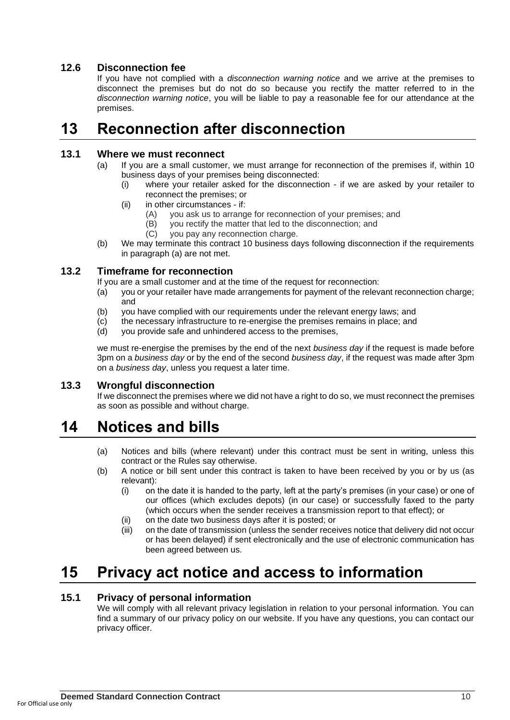### **12.6 Disconnection fee**

If you have not complied with a *disconnection warning notice* and we arrive at the premises to disconnect the premises but do not do so because you rectify the matter referred to in the *disconnection warning notice*, you will be liable to pay a reasonable fee for our attendance at the premises.

# **13 Reconnection after disconnection**

#### **13.1 Where we must reconnect**

- (a) If you are a small customer, we must arrange for reconnection of the premises if, within 10 business days of your premises being disconnected:
	- (i) where your retailer asked for the disconnection if we are asked by your retailer to reconnect the premises; or
	- (ii) in other circumstances if:
		- (A) you ask us to arrange for reconnection of your premises; and
		- (B) you rectify the matter that led to the disconnection; and
		- (C) you pay any reconnection charge.
- (b) We may terminate this contract 10 business days following disconnection if the requirements in paragraph (a) are not met.

#### **13.2 Timeframe for reconnection**

- If you are a small customer and at the time of the request for reconnection:
- (a) you or your retailer have made arrangements for payment of the relevant reconnection charge; and
- (b) you have complied with our requirements under the relevant energy laws; and
- (c) the necessary infrastructure to re-energise the premises remains in place; and
- (d) you provide safe and unhindered access to the premises,

we must re-energise the premises by the end of the next *business day* if the request is made before 3pm on a *business day* or by the end of the second *business day*, if the request was made after 3pm on a *business day*, unless you request a later time.

### **13.3 Wrongful disconnection**

If we disconnect the premises where we did not have a right to do so, we must reconnect the premises as soon as possible and without charge.

# **14 Notices and bills**

- (a) Notices and bills (where relevant) under this contract must be sent in writing, unless this contract or the Rules say otherwise.
- (b) A notice or bill sent under this contract is taken to have been received by you or by us (as relevant):
	- (i) on the date it is handed to the party, left at the party's premises (in your case) or one of our offices (which excludes depots) (in our case) or successfully faxed to the party (which occurs when the sender receives a transmission report to that effect); or
	- (ii) on the date two business days after it is posted; or
	- (iii) on the date of transmission (unless the sender receives notice that delivery did not occur or has been delayed) if sent electronically and the use of electronic communication has been agreed between us.

# **15 Privacy act notice and access to information**

### **15.1 Privacy of personal information**

We will comply with all relevant privacy legislation in relation to your personal information. You can find a summary of our privacy policy on our website. If you have any questions, you can contact our privacy officer.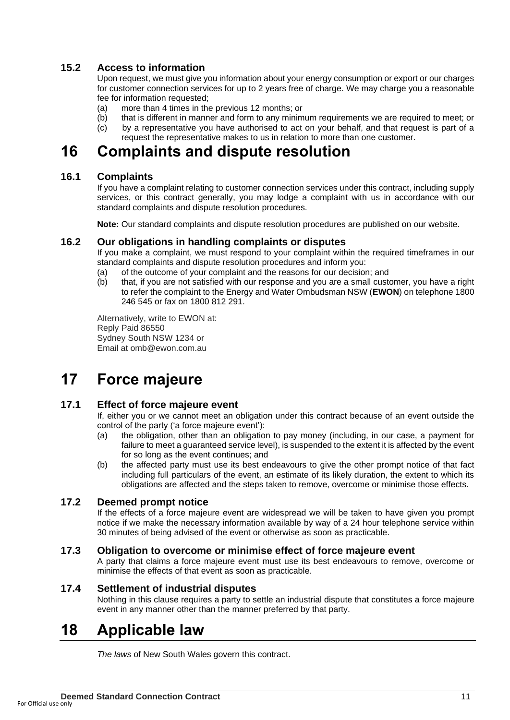### **15.2 Access to information**

Upon request, we must give you information about your energy consumption or export or our charges for customer connection services for up to 2 years free of charge. We may charge you a reasonable fee for information requested;

- (a) more than 4 times in the previous 12 months; or
- (b) that is different in manner and form to any minimum requirements we are required to meet; or
- (c) by a representative you have authorised to act on your behalf, and that request is part of a request the representative makes to us in relation to more than one customer.

### **16 Complaints and dispute resolution**

#### **16.1 Complaints**

If you have a complaint relating to customer connection services under this contract, including supply services, or this contract generally, you may lodge a complaint with us in accordance with our standard complaints and dispute resolution procedures.

**Note:** Our standard complaints and dispute resolution procedures are published on our website.

#### **16.2 Our obligations in handling complaints or disputes**

If you make a complaint, we must respond to your complaint within the required timeframes in our standard complaints and dispute resolution procedures and inform you:

- (a) of the outcome of your complaint and the reasons for our decision; and
- (b) that, if you are not satisfied with our response and you are a small customer, you have a right to refer the complaint to the Energy and Water Ombudsman NSW (**EWON**) on telephone 1800 246 545 or fax on 1800 812 291.

Alternatively, write to EWON at: Reply Paid 86550 Sydney South NSW 1234 or Email at omb@ewon.com.au

## **17 Force majeure**

#### **17.1 Effect of force majeure event**

If, either you or we cannot meet an obligation under this contract because of an event outside the control of the party ('a force majeure event'):

- (a) the obligation, other than an obligation to pay money (including, in our case, a payment for failure to meet a guaranteed service level), is suspended to the extent it is affected by the event for so long as the event continues; and
- (b) the affected party must use its best endeavours to give the other prompt notice of that fact including full particulars of the event, an estimate of its likely duration, the extent to which its obligations are affected and the steps taken to remove, overcome or minimise those effects.

#### **17.2 Deemed prompt notice**

If the effects of a force majeure event are widespread we will be taken to have given you prompt notice if we make the necessary information available by way of a 24 hour telephone service within 30 minutes of being advised of the event or otherwise as soon as practicable.

#### **17.3 Obligation to overcome or minimise effect of force majeure event**

A party that claims a force majeure event must use its best endeavours to remove, overcome or minimise the effects of that event as soon as practicable.

#### **17.4 Settlement of industrial disputes**

Nothing in this clause requires a party to settle an industrial dispute that constitutes a force majeure event in any manner other than the manner preferred by that party.

## **18 Applicable law**

*The laws* of New South Wales govern this contract.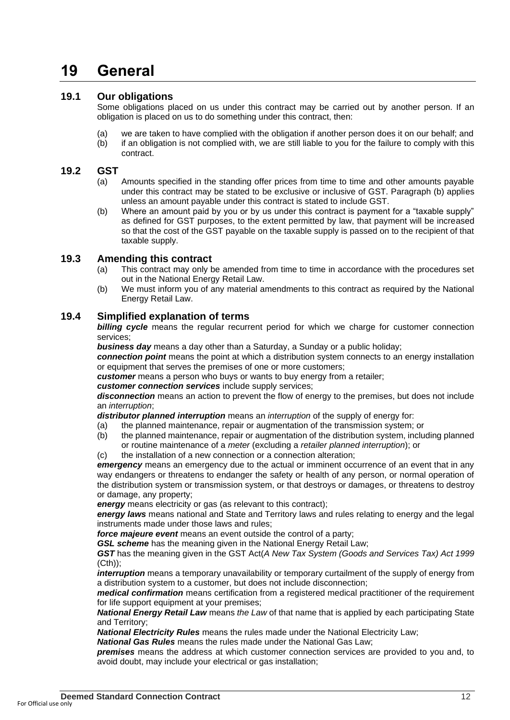# **19 General**

#### **19.1 Our obligations**

Some obligations placed on us under this contract may be carried out by another person. If an obligation is placed on us to do something under this contract, then:

- (a) we are taken to have complied with the obligation if another person does it on our behalf; and
- (b) if an obligation is not complied with, we are still liable to you for the failure to comply with this contract.

#### **19.2 GST**

- (a) Amounts specified in the standing offer prices from time to time and other amounts payable under this contract may be stated to be exclusive or inclusive of GST. Paragraph (b) applies unless an amount payable under this contract is stated to include GST.
- (b) Where an amount paid by you or by us under this contract is payment for a "taxable supply" as defined for GST purposes, to the extent permitted by law, that payment will be increased so that the cost of the GST payable on the taxable supply is passed on to the recipient of that taxable supply.

#### **19.3 Amending this contract**

- (a) This contract may only be amended from time to time in accordance with the procedures set out in the National Energy Retail Law.
- (b) We must inform you of any material amendments to this contract as required by the National Energy Retail Law.

#### **19.4 Simplified explanation of terms**

**billing cycle** means the regular recurrent period for which we charge for customer connection services;

*business day* means a day other than a Saturday, a Sunday or a public holiday;

*connection point* means the point at which a distribution system connects to an energy installation or equipment that serves the premises of one or more customers;

*customer* means a person who buys or wants to buy energy from a retailer;

*customer connection services* include supply services;

*disconnection* means an action to prevent the flow of energy to the premises, but does not include an *interruption*;

*distributor planned interruption* means an *interruption* of the supply of energy for:

- (a) the planned maintenance, repair or augmentation of the transmission system; or
- (b) the planned maintenance, repair or augmentation of the distribution system, including planned or routine maintenance of a *meter* (excluding a *retailer planned interruption*); or
- (c) the installation of a new connection or a connection alteration;

*emergency* means an emergency due to the actual or imminent occurrence of an event that in any way endangers or threatens to endanger the safety or health of any person, or normal operation of the distribution system or transmission system, or that destroys or damages, or threatens to destroy or damage, any property;

**energy** means electricity or gas (as relevant to this contract);

*energy laws* means national and State and Territory laws and rules relating to energy and the legal instruments made under those laws and rules;

*force majeure event* means an event outside the control of a party;

GSL scheme has the meaning given in the National Energy Retail Law;

*GST* has the meaning given in the GST Act(*A New Tax System (Goods and Services Tax) Act 1999*  (Cth));

*interruption* means a temporary unavailability or temporary curtailment of the supply of energy from a distribution system to a customer, but does not include disconnection;

*medical confirmation* means certification from a registered medical practitioner of the requirement for life support equipment at your premises;

*National Energy Retail Law* means *the Law* of that name that is applied by each participating State and Territory;

*National Electricity Rules* means the rules made under the National Electricity Law;

*National Gas Rules* means the rules made under the National Gas Law;

*premises* means the address at which customer connection services are provided to you and, to avoid doubt, may include your electrical or gas installation;